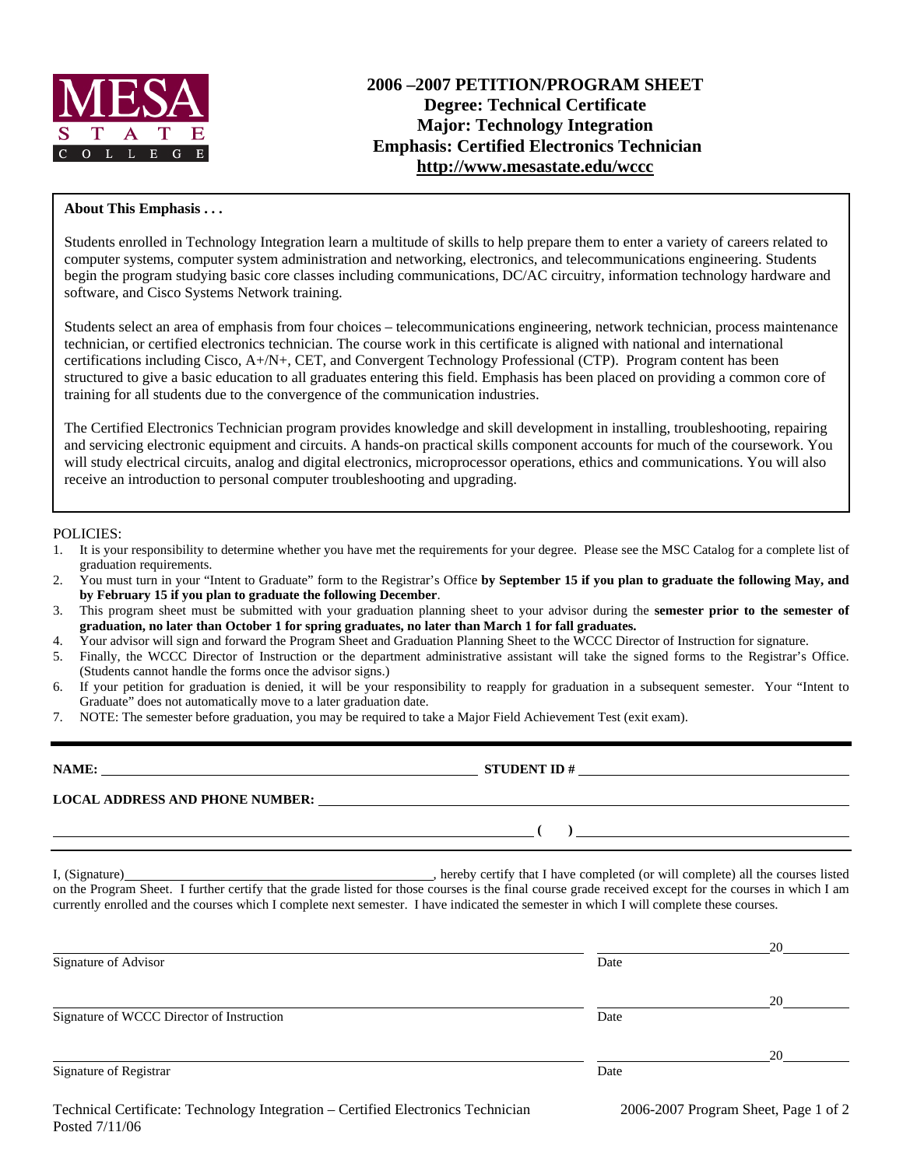

# **2006 –2007 PETITION/PROGRAM SHEET Degree: Technical Certificate Major: Technology Integration Emphasis: Certified Electronics Technician http://www.mesastate.edu/wccc**

#### **About This Emphasis . . .**

Students enrolled in Technology Integration learn a multitude of skills to help prepare them to enter a variety of careers related to computer systems, computer system administration and networking, electronics, and telecommunications engineering. Students begin the program studying basic core classes including communications, DC/AC circuitry, information technology hardware and software, and Cisco Systems Network training.

Students select an area of emphasis from four choices – telecommunications engineering, network technician, process maintenance technician, or certified electronics technician. The course work in this certificate is aligned with national and international certifications including Cisco, A+/N+, CET, and Convergent Technology Professional (CTP). Program content has been structured to give a basic education to all graduates entering this field. Emphasis has been placed on providing a common core of training for all students due to the convergence of the communication industries.

The Certified Electronics Technician program provides knowledge and skill development in installing, troubleshooting, repairing and servicing electronic equipment and circuits. A hands-on practical skills component accounts for much of the coursework. You will study electrical circuits, analog and digital electronics, microprocessor operations, ethics and communications. You will also receive an introduction to personal computer troubleshooting and upgrading.

#### POLICIES:

- 1. It is your responsibility to determine whether you have met the requirements for your degree. Please see the MSC Catalog for a complete list of graduation requirements.
- 2. You must turn in your "Intent to Graduate" form to the Registrar's Office **by September 15 if you plan to graduate the following May, and by February 15 if you plan to graduate the following December**.
- 3. This program sheet must be submitted with your graduation planning sheet to your advisor during the **semester prior to the semester of graduation, no later than October 1 for spring graduates, no later than March 1 for fall graduates.**
- 4. Your advisor will sign and forward the Program Sheet and Graduation Planning Sheet to the WCCC Director of Instruction for signature.
- 5. Finally, the WCCC Director of Instruction or the department administrative assistant will take the signed forms to the Registrar's Office. (Students cannot handle the forms once the advisor signs.)
- 6. If your petition for graduation is denied, it will be your responsibility to reapply for graduation in a subsequent semester. Your "Intent to Graduate" does not automatically move to a later graduation date.
- 7. NOTE: The semester before graduation, you may be required to take a Major Field Achievement Test (exit exam).

| NAME:                                  | <b>STUDENT ID#</b> |  |
|----------------------------------------|--------------------|--|
| <b>LOCAL ADDRESS AND PHONE NUMBER:</b> |                    |  |
|                                        |                    |  |

I, (Signature) , hereby certify that I have completed (or will complete) all the courses listed on the Program Sheet. I further certify that the grade listed for those courses is the final course grade received except for the courses in which I am currently enrolled and the courses which I complete next semester. I have indicated the semester in which I will complete these courses.

|                                           |      | 20 |
|-------------------------------------------|------|----|
| Signature of Advisor                      | Date |    |
|                                           |      | 20 |
| Signature of WCCC Director of Instruction | Date |    |
|                                           |      | 20 |
| Signature of Registrar                    | Date |    |
|                                           |      |    |